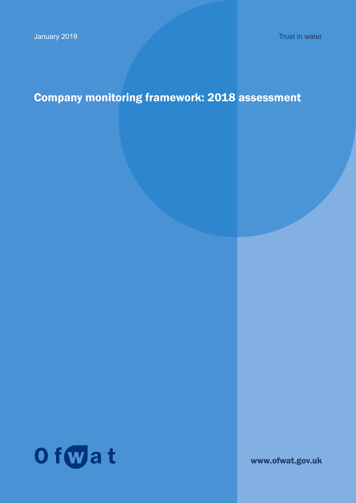# Company monitoring framework: 2018 assessment



www.ofwat.gov.uk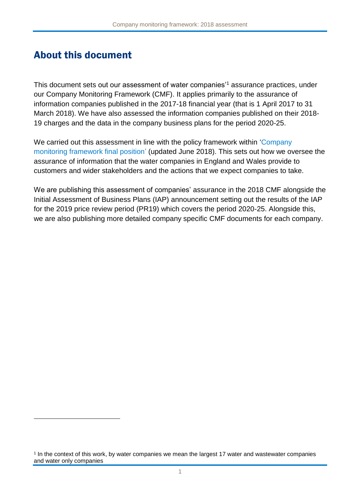# About this document

This document sets out our assessment of water companies<sup>'1</sup> assurance practices, under our Company Monitoring Framework (CMF). It applies primarily to the assurance of information companies published in the 2017-18 financial year (that is 1 April 2017 to 31 March 2018). We have also assessed the information companies published on their 2018- 19 charges and the data in the company business plans for the period 2020-25.

We carried out this assessment in line with the policy framework within 'Company [monitoring framework final position'](http://www.ofwat.gov.uk/publication/company-monitoring-framework-final-position/) (updated June 2018). This sets out how we oversee the assurance of information that the water companies in England and Wales provide to customers and wider stakeholders and the actions that we expect companies to take.

We are publishing this assessment of companies' assurance in the 2018 CMF alongside the Initial Assessment of Business Plans (IAP) announcement setting out the results of the IAP for the 2019 price review period (PR19) which covers the period 2020-25. Alongside this, we are also publishing more detailed company specific CMF documents for each company.

<sup>1</sup> In the context of this work, by water companies we mean the largest 17 water and wastewater companies and water only companies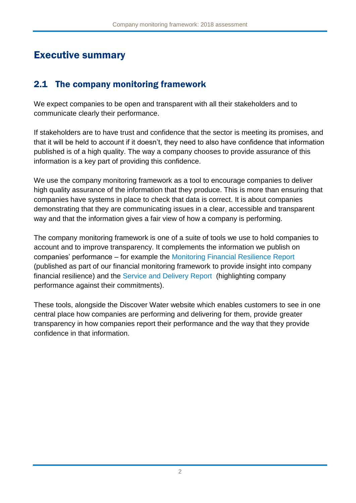# Executive summary

# 2.1 The company monitoring framework

We expect companies to be open and transparent with all their stakeholders and to communicate clearly their performance.

If stakeholders are to have trust and confidence that the sector is meeting its promises, and that it will be held to account if it doesn't, they need to also have confidence that information published is of a high quality. The way a company chooses to provide assurance of this information is a key part of providing this confidence.

We use the company monitoring framework as a tool to encourage companies to deliver high quality assurance of the information that they produce. This is more than ensuring that companies have systems in place to check that data is correct. It is about companies demonstrating that they are communicating issues in a clear, accessible and transparent way and that the information gives a fair view of how a company is performing.

The company monitoring framework is one of a suite of tools we use to hold companies to account and to improve transparency. It complements the information we publish on companies' performance – for example the [Monitoring Financial Resilience Report](https://www.ofwat.gov.uk/wp-content/uploads/2019/01/Monitoring20financial20resilience2020-20201820Report20-20Final-1.pdf) (published as part of our financial monitoring framework to provide insight into company financial resilience) and the [Service and Delivery Report](https://www.ofwat.gov.uk/wp-content/uploads/2019/01/Service-Delivery-Report-201718-04012019-Final.pdf) (highlighting company performance against their commitments).

These tools, alongside the Discover Water website which enables customers to see in one central place how companies are performing and delivering for them, provide greater transparency in how companies report their performance and the way that they provide confidence in that information.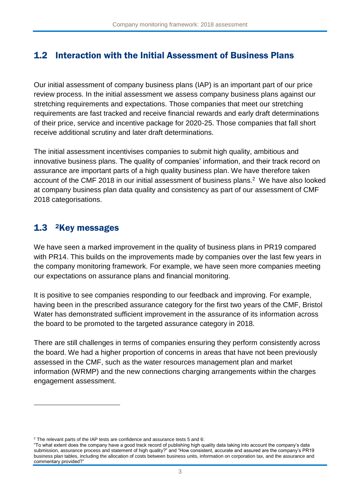# 1.2 Interaction with the Initial Assessment of Business Plans

Our initial assessment of company business plans (IAP) is an important part of our price review process. In the initial assessment we assess company business plans against our stretching requirements and expectations. Those companies that meet our stretching requirements are fast tracked and receive financial rewards and early draft determinations of their price, service and incentive package for 2020-25. Those companies that fall short receive additional scrutiny and later draft determinations.

The initial assessment incentivises companies to submit high quality, ambitious and innovative business plans. The quality of companies' information, and their track record on assurance are important parts of a high quality business plan. We have therefore taken account of the CMF 2018 in our initial assessment of business plans. <sup>2</sup> We have also looked at company business plan data quality and consistency as part of our assessment of CMF 2018 categorisations.

# 1.3 <sup>2</sup>Key messages

1

We have seen a marked improvement in the quality of business plans in PR19 compared with PR14. This builds on the improvements made by companies over the last few years in the company monitoring framework. For example, we have seen more companies meeting our expectations on assurance plans and financial monitoring.

It is positive to see companies responding to our feedback and improving. For example, having been in the prescribed assurance category for the first two years of the CMF, Bristol Water has demonstrated sufficient improvement in the assurance of its information across the board to be promoted to the targeted assurance category in 2018.

There are still challenges in terms of companies ensuring they perform consistently across the board. We had a higher proportion of concerns in areas that have not been previously assessed in the CMF, such as the water resources management plan and market information (WRMP) and the new connections charging arrangements within the charges engagement assessment.

 $2$  The relevant parts of the IAP tests are confidence and assurance tests 5 and 6:

<sup>&</sup>quot;To what extent does the company have a good track record of publishing high quality data taking into account the company's data submission, assurance process and statement of high quality?" and "How consistent, accurate and assured are the company's PR19 business plan tables, including the allocation of costs between business units, information on corporation tax, and the assurance and commentary provided?"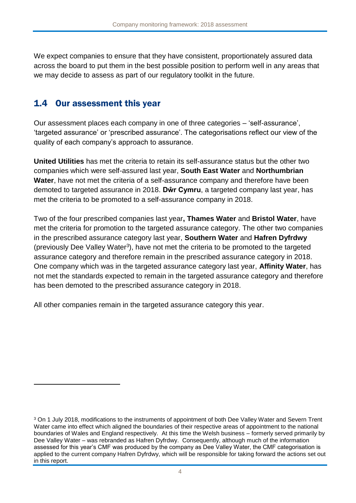We expect companies to ensure that they have consistent, proportionately assured data across the board to put them in the best possible position to perform well in any areas that we may decide to assess as part of our regulatory toolkit in the future.

# 1.4 Our assessment this year

1

Our assessment places each company in one of three categories – 'self-assurance', 'targeted assurance' or 'prescribed assurance'. The categorisations reflect our view of the quality of each company's approach to assurance.

**United Utilities** has met the criteria to retain its self-assurance status but the other two companies which were self-assured last year, **South East Water** and **Northumbrian Water**, have not met the criteria of a self-assurance company and therefore have been demoted to targeted assurance in 2018. **Dŵr Cymru**, a targeted company last year, has met the criteria to be promoted to a self-assurance company in 2018.

Two of the four prescribed companies last year**, Thames Water** and **Bristol Water**, have met the criteria for promotion to the targeted assurance category. The other two companies in the prescribed assurance category last year, **Southern Water** and **Hafren Dyfrdwy** (previously Dee Valley Water<sup>3</sup>), have not met the criteria to be promoted to the targeted assurance category and therefore remain in the prescribed assurance category in 2018. One company which was in the targeted assurance category last year, **Affinity Water**, has not met the standards expected to remain in the targeted assurance category and therefore has been demoted to the prescribed assurance category in 2018.

All other companies remain in the targeted assurance category this year.

<sup>&</sup>lt;sup>3</sup> On 1 July 2018, modifications to the instruments of appointment of both Dee Valley Water and Severn Trent Water came into effect which aligned the boundaries of their respective areas of appointment to the national boundaries of Wales and England respectively. At this time the Welsh business – formerly served primarily by Dee Valley Water – was rebranded as Hafren Dyfrdwy. Consequently, although much of the information assessed for this year's CMF was produced by the company as Dee Valley Water, the CMF categorisation is applied to the current company Hafren Dyfrdwy, which will be responsible for taking forward the actions set out in this report.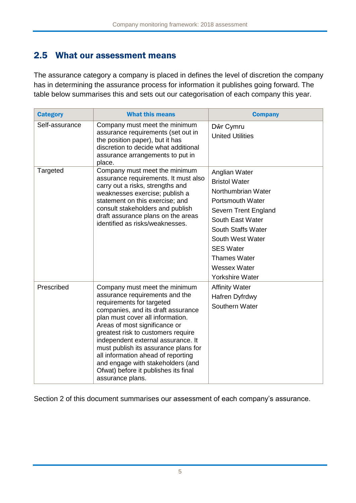# 2.5 What our assessment means

The assurance category a company is placed in defines the level of discretion the company has in determining the assurance process for information it publishes going forward. The table below summarises this and sets out our categorisation of each company this year.

| <b>Category</b> | <b>What this means</b>                                                                                                                                                                                                                                                                                                                                                                                                                                             | <b>Company</b>                                                                                                                                                                                                                                                           |
|-----------------|--------------------------------------------------------------------------------------------------------------------------------------------------------------------------------------------------------------------------------------------------------------------------------------------------------------------------------------------------------------------------------------------------------------------------------------------------------------------|--------------------------------------------------------------------------------------------------------------------------------------------------------------------------------------------------------------------------------------------------------------------------|
| Self-assurance  | Company must meet the minimum<br>assurance requirements (set out in<br>the position paper), but it has<br>discretion to decide what additional<br>assurance arrangements to put in<br>place.                                                                                                                                                                                                                                                                       | Dŵr Cymru<br><b>United Utilities</b>                                                                                                                                                                                                                                     |
| Targeted        | Company must meet the minimum<br>assurance requirements. It must also<br>carry out a risks, strengths and<br>weaknesses exercise; publish a<br>statement on this exercise; and<br>consult stakeholders and publish<br>draft assurance plans on the areas<br>identified as risks/weaknesses.                                                                                                                                                                        | Anglian Water<br><b>Bristol Water</b><br>Northumbrian Water<br><b>Portsmouth Water</b><br>Severn Trent England<br>South East Water<br>South Staffs Water<br>South West Water<br><b>SES Water</b><br><b>Thames Water</b><br><b>Wessex Water</b><br><b>Yorkshire Water</b> |
| Prescribed      | Company must meet the minimum<br>assurance requirements and the<br>requirements for targeted<br>companies, and its draft assurance<br>plan must cover all information.<br>Areas of most significance or<br>greatest risk to customers require<br>independent external assurance. It<br>must publish its assurance plans for<br>all information ahead of reporting<br>and engage with stakeholders (and<br>Ofwat) before it publishes its final<br>assurance plans. | <b>Affinity Water</b><br>Hafren Dyfrdwy<br>Southern Water                                                                                                                                                                                                                |

Section 2 of this document summarises our assessment of each company's assurance.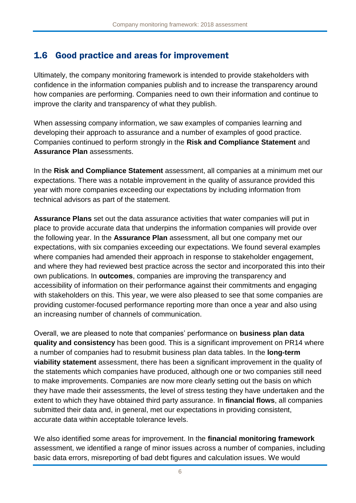# 1.6 Good practice and areas for improvement

Ultimately, the company monitoring framework is intended to provide stakeholders with confidence in the information companies publish and to increase the transparency around how companies are performing. Companies need to own their information and continue to improve the clarity and transparency of what they publish.

When assessing company information, we saw examples of companies learning and developing their approach to assurance and a number of examples of good practice. Companies continued to perform strongly in the **Risk and Compliance Statement** and **Assurance Plan** assessments.

In the **Risk and Compliance Statement** assessment, all companies at a minimum met our expectations. There was a notable improvement in the quality of assurance provided this year with more companies exceeding our expectations by including information from technical advisors as part of the statement.

**Assurance Plans** set out the data assurance activities that water companies will put in place to provide accurate data that underpins the information companies will provide over the following year. In the **Assurance Plan** assessment, all but one company met our expectations, with six companies exceeding our expectations. We found several examples where companies had amended their approach in response to stakeholder engagement, and where they had reviewed best practice across the sector and incorporated this into their own publications. In **outcomes**, companies are improving the transparency and accessibility of information on their performance against their commitments and engaging with stakeholders on this. This year, we were also pleased to see that some companies are providing customer-focused performance reporting more than once a year and also using an increasing number of channels of communication.

Overall, we are pleased to note that companies' performance on **business plan data quality and consistency** has been good. This is a significant improvement on PR14 where a number of companies had to resubmit business plan data tables. In the **long-term viability statement** assessment, there has been a significant improvement in the quality of the statements which companies have produced, although one or two companies still need to make improvements. Companies are now more clearly setting out the basis on which they have made their assessments, the level of stress testing they have undertaken and the extent to which they have obtained third party assurance. In **financial flows**, all companies submitted their data and, in general, met our expectations in providing consistent, accurate data within acceptable tolerance levels.

We also identified some areas for improvement. In the **financial monitoring framework** assessment, we identified a range of minor issues across a number of companies, including basic data errors, misreporting of bad debt figures and calculation issues. We would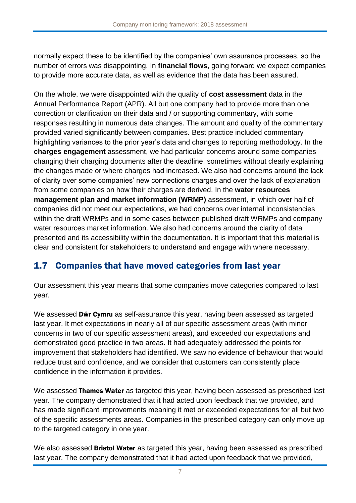normally expect these to be identified by the companies' own assurance processes, so the number of errors was disappointing. In **financial flows**, going forward we expect companies to provide more accurate data, as well as evidence that the data has been assured.

On the whole, we were disappointed with the quality of **cost assessment** data in the Annual Performance Report (APR). All but one company had to provide more than one correction or clarification on their data and / or supporting commentary, with some responses resulting in numerous data changes. The amount and quality of the commentary provided varied significantly between companies. Best practice included commentary highlighting variances to the prior year's data and changes to reporting methodology. In the **charges engagement** assessment, we had particular concerns around some companies changing their charging documents after the deadline, sometimes without clearly explaining the changes made or where charges had increased. We also had concerns around the lack of clarity over some companies' new connections charges and over the lack of explanation from some companies on how their charges are derived. In the **water resources management plan and market information (WRMP)** assessment, in which over half of companies did not meet our expectations, we had concerns over internal inconsistencies within the draft WRMPs and in some cases between published draft WRMPs and company water resources market information. We also had concerns around the clarity of data presented and its accessibility within the documentation. It is important that this material is clear and consistent for stakeholders to understand and engage with where necessary.

# 1.7 Companies that have moved categories from last year

Our assessment this year means that some companies move categories compared to last year.

We assessed **Dŵr Cymru** as self-assurance this year, having been assessed as targeted last year. It met expectations in nearly all of our specific assessment areas (with minor concerns in two of our specific assessment areas), and exceeded our expectations and demonstrated good practice in two areas. It had adequately addressed the points for improvement that stakeholders had identified. We saw no evidence of behaviour that would reduce trust and confidence, and we consider that customers can consistently place confidence in the information it provides.

We assessed Thames Water as targeted this year, having been assessed as prescribed last year. The company demonstrated that it had acted upon feedback that we provided, and has made significant improvements meaning it met or exceeded expectations for all but two of the specific assessments areas. Companies in the prescribed category can only move up to the targeted category in one year.

We also assessed **Bristol Water** as targeted this year, having been assessed as prescribed last year. The company demonstrated that it had acted upon feedback that we provided,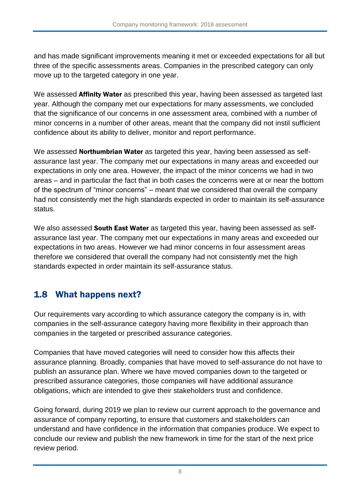and has made significant improvements meaning it met or exceeded expectations for all but three of the specific assessments areas. Companies in the prescribed category can only move up to the targeted category in one year.

We assessed Affinity Water as prescribed this year, having been assessed as targeted last year. Although the company met our expectations for many assessments, we concluded that the significance of our concerns in one assessment area, combined with a number of minor concerns in a number of other areas, meant that the company did not instil sufficient confidence about its ability to deliver, monitor and report performance.

We assessed **Northumbrian Water** as targeted this year, having been assessed as selfassurance last year. The company met our expectations in many areas and exceeded our expectations in only one area. However, the impact of the minor concerns we had in two areas – and in particular the fact that in both cases the concerns were at or near the bottom of the spectrum of "minor concerns" – meant that we considered that overall the company had not consistently met the high standards expected in order to maintain its self-assurance status.

We also assessed **South East Water** as targeted this year, having been assessed as selfassurance last year. The company met our expectations in many areas and exceeded our expectations in two areas. However we had minor concerns in four assessment areas therefore we considered that overall the company had not consistently met the high standards expected in order maintain its self-assurance status.

# 1.8 What happens next?

Our requirements vary according to which assurance category the company is in, with companies in the self-assurance category having more flexibility in their approach than companies in the targeted or prescribed assurance categories.

Companies that have moved categories will need to consider how this affects their assurance planning. Broadly, companies that have moved to self-assurance do not have to publish an assurance plan. Where we have moved companies down to the targeted or prescribed assurance categories, those companies will have additional assurance obligations, which are intended to give their stakeholders trust and confidence.

Going forward, during 2019 we plan to review our current approach to the governance and assurance of company reporting, to ensure that customers and stakeholders can understand and have confidence in the information that companies produce. We expect to conclude our review and publish the new framework in time for the start of the next price review period.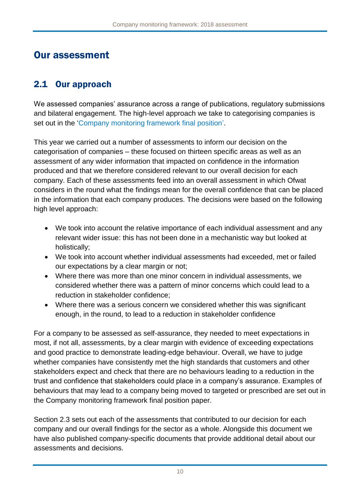# Our assessment

# 2.1 Our approach

We assessed companies' assurance across a range of publications, regulatory submissions and bilateral engagement. The high-level approach we take to categorising companies is set out in the ['Company monitoring framework final position'](http://www.ofwat.gov.uk/publication/company-monitoring-framework-final-position/).

This year we carried out a number of assessments to inform our decision on the categorisation of companies – these focused on thirteen specific areas as well as an assessment of any wider information that impacted on confidence in the information produced and that we therefore considered relevant to our overall decision for each company. Each of these assessments feed into an overall assessment in which Ofwat considers in the round what the findings mean for the overall confidence that can be placed in the information that each company produces. The decisions were based on the following high level approach:

- We took into account the relative importance of each individual assessment and any relevant wider issue: this has not been done in a mechanistic way but looked at holistically;
- We took into account whether individual assessments had exceeded, met or failed our expectations by a clear margin or not;
- Where there was more than one minor concern in individual assessments, we considered whether there was a pattern of minor concerns which could lead to a reduction in stakeholder confidence;
- Where there was a serious concern we considered whether this was significant enough, in the round, to lead to a reduction in stakeholder confidence

For a company to be assessed as self-assurance, they needed to meet expectations in most, if not all, assessments, by a clear margin with evidence of exceeding expectations and good practice to demonstrate leading-edge behaviour. Overall, we have to judge whether companies have consistently met the high standards that customers and other stakeholders expect and check that there are no behaviours leading to a reduction in the trust and confidence that stakeholders could place in a company's assurance. Examples of behaviours that may lead to a company being moved to targeted or prescribed are set out in the Company monitoring framework final position paper.

Section 2.3 sets out each of the assessments that contributed to our decision for each company and our overall findings for the sector as a whole. Alongside this document we have also published company-specific documents that provide additional detail about our assessments and decisions.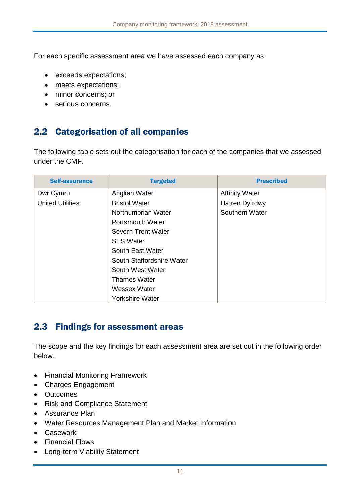For each specific assessment area we have assessed each company as:

- exceeds expectations;
- meets expectations;
- minor concerns; or
- serious concerns.

# 2.2 Categorisation of all companies

The following table sets out the categorisation for each of the companies that we assessed under the CMF.

| <b>Self-assurance</b>   | <b>Targeted</b>           | <b>Prescribed</b>     |
|-------------------------|---------------------------|-----------------------|
| Dŵr Cymru               | Anglian Water             | <b>Affinity Water</b> |
| <b>United Utilities</b> | <b>Bristol Water</b>      | Hafren Dyfrdwy        |
|                         | Northumbrian Water        | Southern Water        |
|                         | <b>Portsmouth Water</b>   |                       |
|                         | Severn Trent Water        |                       |
|                         | <b>SES Water</b>          |                       |
|                         | South East Water          |                       |
|                         | South Staffordshire Water |                       |
|                         | South West Water          |                       |
|                         | <b>Thames Water</b>       |                       |
|                         | <b>Wessex Water</b>       |                       |
|                         | <b>Yorkshire Water</b>    |                       |

# 2.3 Findings for assessment areas

The scope and the key findings for each assessment area are set out in the following order below.

- Financial Monitoring Framework
- Charges Engagement
- Outcomes
- Risk and Compliance Statement
- Assurance Plan
- Water Resources Management Plan and Market Information
- Casework
- Financial Flows
- Long-term Viability Statement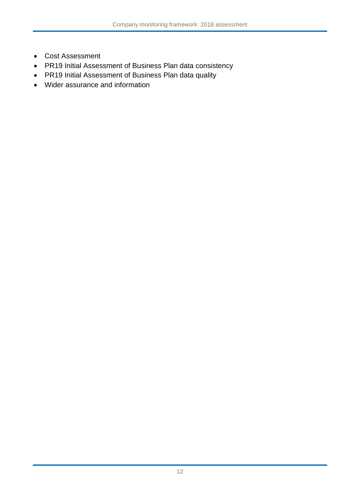- Cost Assessment
- PR19 Initial Assessment of Business Plan data consistency
- PR19 Initial Assessment of Business Plan data quality
- Wider assurance and information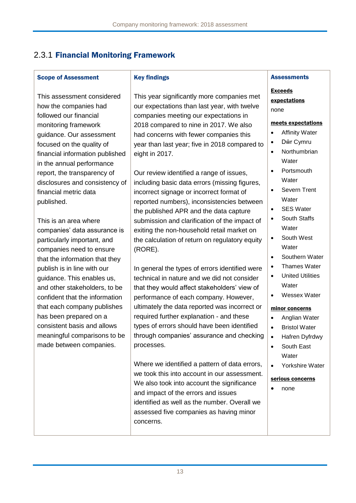# 2.3.1 Financial Monitoring Framework

### Scope of Assessment

This assessment considered how the companies had followed our financial monitoring framework guidance. Our assessment focused on the quality of financial information published in the annual performance report, the transparency of disclosures and consistency of financial metric data published.

This is an area where companies' data assurance is particularly important, and companies need to ensure that the information that they publish is in line with our guidance. This enables us, and other stakeholders, to be confident that the information that each company publishes has been prepared on a consistent basis and allows meaningful comparisons to be made between companies.

### Key findings

This year significantly more companies met our expectations than last year, with twelve companies meeting our expectations in 2018 compared to nine in 2017. We also had concerns with fewer companies this year than last year; five in 2018 compared to eight in 2017.

Our review identified a range of issues, including basic data errors (missing figures, incorrect signage or incorrect format of reported numbers), inconsistencies between the published APR and the data capture submission and clarification of the impact of exiting the non-household retail market on the calculation of return on regulatory equity (RORE).

In general the types of errors identified were technical in nature and we did not consider that they would affect stakeholders' view of performance of each company. However, ultimately the data reported was incorrect or required further explanation - and these types of errors should have been identified through companies' assurance and checking processes.

Where we identified a pattern of data errors, we took this into account in our assessment. We also took into account the significance and impact of the errors and issues identified as well as the number. Overall we assessed five companies as having minor concerns.

### **Assessments**

Exceeds expectations none

#### meets expectations

- Affinity Water
- Dŵr Cymru
- Northumbrian Water
- **Portsmouth Water**
- Severn Trent Water
- SES Water
- South Staffs **Water**
- South West **Water**
- Southern Water
- Thames Water
- United Utilities **Water**
- Wessex Water

### minor concerns

- Anglian Water
- Bristol Water
- Hafren Dyfrdwy
- South East **Water**
- Yorkshire Water

#### serious concerns

none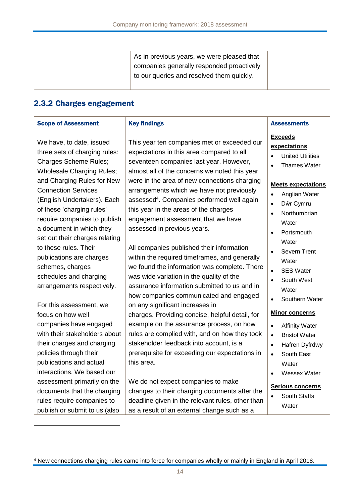| As in previous years, we were pleased that |  |
|--------------------------------------------|--|
| companies generally responded proactively  |  |
| to our queries and resolved them quickly.  |  |
|                                            |  |

## 2.3.2 Charges engagement

#### Scope of Assessment

## Key findings

We have, to date, issued three sets of charging rules: Charges Scheme Rules; Wholesale Charging Rules; and Charging Rules for New Connection Services (English Undertakers). Each of these 'charging rules' require companies to publish a document in which they set out their charges relating to these rules. Their publications are charges schemes, charges schedules and charging arrangements respectively.

For this assessment, we focus on how well companies have engaged with their stakeholders about their charges and charging policies through their publications and actual interactions. We based our assessment primarily on the documents that the charging rules require companies to publish or submit to us (also

1

This year ten companies met or exceeded our expectations in this area compared to all seventeen companies last year. However, almost all of the concerns we noted this year were in the area of new connections charging arrangements which we have not previously assessed<sup>4</sup>. Companies performed well again this year in the areas of the charges engagement assessment that we have assessed in previous years.

All companies published their information within the required timeframes, and generally we found the information was complete. There was wide variation in the quality of the assurance information submitted to us and in how companies communicated and engaged on any significant increases in charges. Providing concise, helpful detail, for example on the assurance process, on how rules are complied with, and on how they took stakeholder feedback into account, is a prerequisite for exceeding our expectations in this area.

We do not expect companies to make changes to their charging documents after the deadline given in the relevant rules, other than as a result of an external change such as a

#### **Assessments**

# **Exceeds**

## **expectations**

- United Utilities
- Thames Water

#### **Meets expectations**

- Anglian Water
- Dŵr Cymru
- **Northumbrian Water**
- Portsmouth **Water**
- Severn Trent Water
- SES Water
- South West **Water**
- Southern Water

### **Minor concerns**

- Affinity Water
- Bristol Water
- Hafren Dyfrdwy
- South East **Water**
- Wessex Water

### **Serious concerns**

 South Staffs **Water** 

<sup>4</sup> New connections charging rules came into force for companies wholly or mainly in England in April 2018.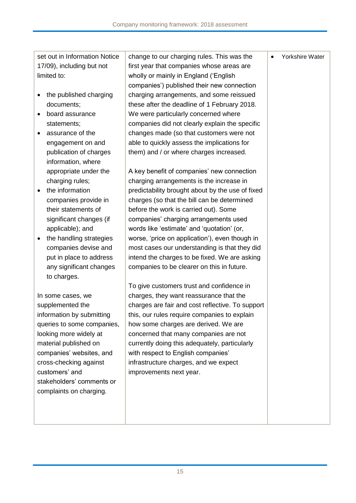| set out in Information Notice<br>17/09), including but not | change to our charging rules. This was the<br>first year that companies whose areas are | Yorkshire Water<br>$\bullet$ |
|------------------------------------------------------------|-----------------------------------------------------------------------------------------|------------------------------|
| limited to:                                                | wholly or mainly in England ('English                                                   |                              |
|                                                            | companies') published their new connection                                              |                              |
| the published charging                                     | charging arrangements, and some reissued                                                |                              |
| documents;                                                 | these after the deadline of 1 February 2018.                                            |                              |
| board assurance                                            | We were particularly concerned where                                                    |                              |
| statements;                                                | companies did not clearly explain the specific                                          |                              |
| assurance of the                                           | changes made (so that customers were not                                                |                              |
| engagement on and                                          | able to quickly assess the implications for                                             |                              |
| publication of charges                                     | them) and / or where charges increased.                                                 |                              |
| information, where                                         |                                                                                         |                              |
| appropriate under the                                      | A key benefit of companies' new connection                                              |                              |
| charging rules;                                            | charging arrangements is the increase in                                                |                              |
| the information                                            | predictability brought about by the use of fixed                                        |                              |
| companies provide in                                       | charges (so that the bill can be determined                                             |                              |
| their statements of                                        | before the work is carried out). Some                                                   |                              |
| significant changes (if                                    | companies' charging arrangements used                                                   |                              |
| applicable); and                                           | words like 'estimate' and 'quotation' (or,                                              |                              |
| the handling strategies                                    | worse, 'price on application'), even though in                                          |                              |
| companies devise and                                       | most cases our understanding is that they did                                           |                              |
| put in place to address                                    | intend the charges to be fixed. We are asking                                           |                              |
| any significant changes                                    | companies to be clearer on this in future.                                              |                              |
| to charges.                                                |                                                                                         |                              |
|                                                            | To give customers trust and confidence in                                               |                              |
| In some cases, we                                          | charges, they want reassurance that the                                                 |                              |
| supplemented the                                           | charges are fair and cost reflective. To support                                        |                              |
| information by submitting                                  | this, our rules require companies to explain                                            |                              |
| queries to some companies,                                 | how some charges are derived. We are                                                    |                              |
| looking more widely at                                     | concerned that many companies are not                                                   |                              |
| material published on                                      | currently doing this adequately, particularly                                           |                              |
| companies' websites, and                                   | with respect to English companies'                                                      |                              |
|                                                            |                                                                                         |                              |
| cross-checking against<br>customers' and                   | infrastructure charges, and we expect                                                   |                              |
|                                                            | improvements next year.                                                                 |                              |
| stakeholders' comments or                                  |                                                                                         |                              |
| complaints on charging.                                    |                                                                                         |                              |
|                                                            |                                                                                         |                              |
|                                                            |                                                                                         |                              |
|                                                            |                                                                                         |                              |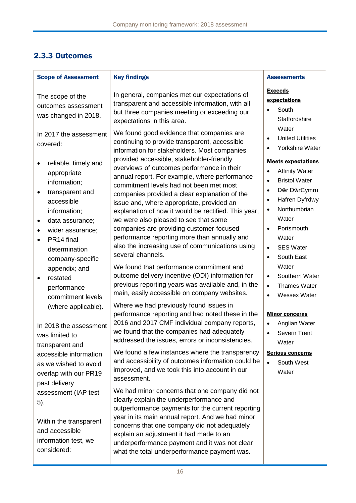# 2.3.3 Outcomes

| <b>Scope of Assessment</b>                                                                                                                                                                                                                                                                                                    | <b>Key findings</b>                                                                                                                                                                                                                                                                                                                                                                                                                                                                                                                                                                                                                                                                                                                                                                                     | <b>Assessments</b>                                                                                                                                                                                                                                                                                                                                                                                              |
|-------------------------------------------------------------------------------------------------------------------------------------------------------------------------------------------------------------------------------------------------------------------------------------------------------------------------------|---------------------------------------------------------------------------------------------------------------------------------------------------------------------------------------------------------------------------------------------------------------------------------------------------------------------------------------------------------------------------------------------------------------------------------------------------------------------------------------------------------------------------------------------------------------------------------------------------------------------------------------------------------------------------------------------------------------------------------------------------------------------------------------------------------|-----------------------------------------------------------------------------------------------------------------------------------------------------------------------------------------------------------------------------------------------------------------------------------------------------------------------------------------------------------------------------------------------------------------|
| The scope of the<br>outcomes assessment<br>was changed in 2018.                                                                                                                                                                                                                                                               | In general, companies met our expectations of<br>transparent and accessible information, with all<br>but three companies meeting or exceeding our<br>expectations in this area.                                                                                                                                                                                                                                                                                                                                                                                                                                                                                                                                                                                                                         | <b>Exceeds</b><br>expectations<br>South<br>$\bullet$<br>Staffordshire<br>Water                                                                                                                                                                                                                                                                                                                                  |
| In 2017 the assessment<br>covered:                                                                                                                                                                                                                                                                                            | We found good evidence that companies are<br>continuing to provide transparent, accessible<br>information for stakeholders. Most companies                                                                                                                                                                                                                                                                                                                                                                                                                                                                                                                                                                                                                                                              | <b>United Utilities</b><br>$\bullet$<br>Yorkshire Water<br>$\bullet$                                                                                                                                                                                                                                                                                                                                            |
| reliable, timely and<br>appropriate<br>information;<br>transparent and<br>accessible<br>information;<br>data assurance;<br>$\bullet$<br>wider assurance;<br>$\bullet$<br>PR14 final<br>$\bullet$<br>determination<br>company-specific<br>appendix; and<br>restated<br>performance<br>commitment levels<br>(where applicable). | provided accessible, stakeholder-friendly<br>overviews of outcomes performance in their<br>annual report. For example, where performance<br>commitment levels had not been met most<br>companies provided a clear explanation of the<br>issue and, where appropriate, provided an<br>explanation of how it would be rectified. This year,<br>we were also pleased to see that some<br>companies are providing customer-focused<br>performance reporting more than annually and<br>also the increasing use of communications using<br>several channels.<br>We found that performance commitment and<br>outcome delivery incentive (ODI) information for<br>previous reporting years was available and, in the<br>main, easily accessible on company websites.<br>Where we had previously found issues in | <b>Meets expectations</b><br><b>Affinity Water</b><br>$\bullet$<br><b>Bristol Water</b><br>$\bullet$<br>Dŵr DŵrCymru<br>$\bullet$<br>Hafren Dyfrdwy<br>$\bullet$<br>Northumbrian<br>$\bullet$<br>Water<br>Portsmouth<br>$\bullet$<br>Water<br><b>SES Water</b><br>$\bullet$<br>South East<br>$\bullet$<br>Water<br>Southern Water<br>$\bullet$<br>Thames Water<br>$\bullet$<br><b>Wessex Water</b><br>$\bullet$ |
| In 2018 the assessment<br>was limited to<br>transparent and                                                                                                                                                                                                                                                                   | performance reporting and had noted these in the<br>2016 and 2017 CMF individual company reports,<br>we found that the companies had adequately<br>addressed the issues, errors or inconsistencies.                                                                                                                                                                                                                                                                                                                                                                                                                                                                                                                                                                                                     | <b>Minor concerns</b><br>Anglian Water<br>$\bullet$<br>Severn Trent<br>$\bullet$<br>Water                                                                                                                                                                                                                                                                                                                       |
| accessible information<br>as we wished to avoid<br>overlap with our PR19<br>past delivery                                                                                                                                                                                                                                     | We found a few instances where the transparency<br>and accessibility of outcomes information could be<br>improved, and we took this into account in our<br>assessment.                                                                                                                                                                                                                                                                                                                                                                                                                                                                                                                                                                                                                                  | <b>Serious concerns</b><br>South West<br>$\bullet$<br>Water                                                                                                                                                                                                                                                                                                                                                     |
| assessment (IAP test<br>5).<br>Within the transparent<br>and accessible<br>information test, we<br>considered:                                                                                                                                                                                                                | We had minor concerns that one company did not<br>clearly explain the underperformance and<br>outperformance payments for the current reporting<br>year in its main annual report. And we had minor<br>concerns that one company did not adequately<br>explain an adjustment it had made to an<br>underperformance payment and it was not clear<br>what the total underperformance payment was.                                                                                                                                                                                                                                                                                                                                                                                                         |                                                                                                                                                                                                                                                                                                                                                                                                                 |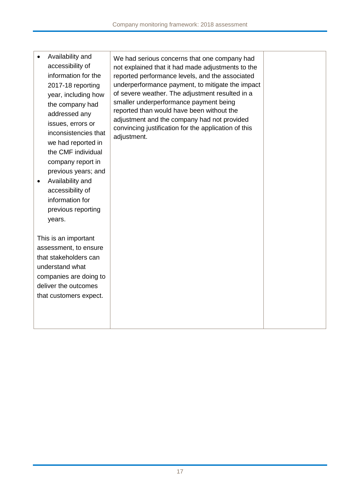| Availability and<br>accessibility of<br>information for the<br>2017-18 reporting<br>year, including how<br>the company had<br>addressed any<br>issues, errors or<br>inconsistencies that<br>we had reported in<br>the CMF individual<br>company report in<br>previous years; and<br>Availability and<br>accessibility of<br>information for<br>previous reporting<br>years. | We had serious concerns that one company had<br>not explained that it had made adjustments to the<br>reported performance levels, and the associated<br>underperformance payment, to mitigate the impact<br>of severe weather. The adjustment resulted in a<br>smaller underperformance payment being<br>reported than would have been without the<br>adjustment and the company had not provided<br>convincing justification for the application of this<br>adjustment. |  |
|-----------------------------------------------------------------------------------------------------------------------------------------------------------------------------------------------------------------------------------------------------------------------------------------------------------------------------------------------------------------------------|--------------------------------------------------------------------------------------------------------------------------------------------------------------------------------------------------------------------------------------------------------------------------------------------------------------------------------------------------------------------------------------------------------------------------------------------------------------------------|--|
| This is an important<br>assessment, to ensure<br>that stakeholders can<br>understand what<br>companies are doing to<br>deliver the outcomes<br>that customers expect.                                                                                                                                                                                                       |                                                                                                                                                                                                                                                                                                                                                                                                                                                                          |  |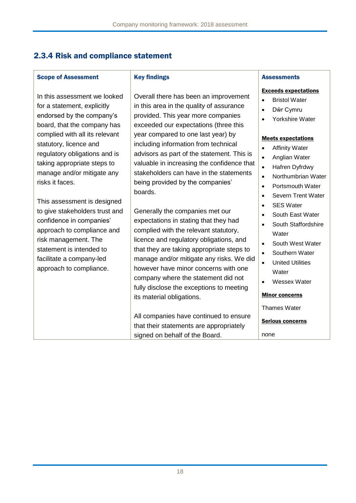## 2.3.4 Risk and compliance statement

## Scope of Assessment

In this assessment we looked for a statement, explicitly endorsed by the company's board, that the company has complied with all its relevant statutory, licence and regulatory obligations and is taking appropriate steps to manage and/or mitigate any risks it faces.

This assessment is designed to give stakeholders trust and confidence in companies' approach to compliance and risk management. The statement is intended to facilitate a company-led approach to compliance.

### Key findings

Overall there has been an improvement in this area in the quality of assurance provided. This year more companies exceeded our expectations (three this year compared to one last year) by including information from technical advisors as part of the statement. This is valuable in increasing the confidence that stakeholders can have in the statements being provided by the companies' boards.

Generally the companies met our expectations in stating that they had complied with the relevant statutory, licence and regulatory obligations, and that they are taking appropriate steps to manage and/or mitigate any risks. We did however have minor concerns with one company where the statement did not fully disclose the exceptions to meeting its material obligations.

All companies have continued to ensure that their statements are appropriately signed on behalf of the Board.

## **Assessments**

### Exceeds expectations

- Bristol Water
- Dŵr Cymru
- Yorkshire Water

### Meets expectations

- Affinity Water
- Anglian Water
- Hafren Dyfrdwy
- Northumbrian Water
- Portsmouth Water
- Severn Trent Water
- SES Water
- South East Water
- South Staffordshire Water
- South West Water
- Southern Water
- United Utilities **Water**
- Wessex Water

### Minor concerns

Thames Water

Serious concerns

none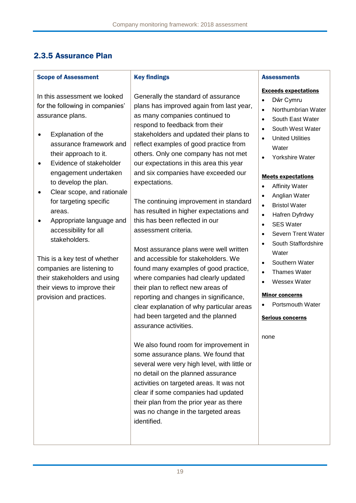## 2.3.5 Assurance Plan

### Scope of Assessment

In this assessment we looked for the following in companies' assurance plans.

- Explanation of the assurance framework and their approach to it.
- **•** Evidence of stakeholder engagement undertaken to develop the plan.
- Clear scope, and rationale for targeting specific areas.
- Appropriate language and accessibility for all stakeholders.

This is a key test of whether companies are listening to their stakeholders and using their views to improve their provision and practices.

### Key findings

Generally the standard of assurance plans has improved again from last year, as many companies continued to respond to feedback from their stakeholders and updated their plans to reflect examples of good practice from others. Only one company has not met our expectations in this area this year and six companies have exceeded our expectations.

The continuing improvement in standard has resulted in higher expectations and this has been reflected in our assessment criteria.

Most assurance plans were well written and accessible for stakeholders. We found many examples of good practice, where companies had clearly updated their plan to reflect new areas of reporting and changes in significance, clear explanation of why particular areas had been targeted and the planned assurance activities.

We also found room for improvement in some assurance plans. We found that several were very high level, with little or no detail on the planned assurance activities on targeted areas. It was not clear if some companies had updated their plan from the prior year as there was no change in the targeted areas identified.

### **Assessments**

#### Exceeds expectations

- Dŵr Cymru
- Northumbrian Water
- South East Water
- South West Water
- United Utilities **Water**
- Yorkshire Water

### Meets expectations

- Affinity Water
- Anglian Water
- Bristol Water
- Hafren Dyfrdwy
- SES Water
- Severn Trent Water
- South Staffordshire **Water**
- Southern Water
- Thames Water
- Wessex Water

#### Minor concerns

Portsmouth Water

#### Serious concerns

#### none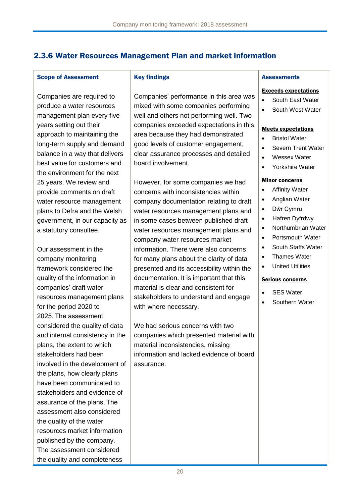## 2.3.6 Water Resources Management Plan and market information

#### Scope of Assessment

Companies are required to produce a water resources management plan every five years setting out their approach to maintaining the long-term supply and demand balance in a way that delivers best value for customers and the environment for the next 25 years. We review and provide comments on draft water resource management plans to Defra and the Welsh government, in our capacity as a statutory consultee.

Our assessment in the company monitoring framework considered the quality of the information in companies' draft water resources management plans for the period 2020 to 2025. The assessment considered the quality of data and internal consistency in the plans, the extent to which stakeholders had been involved in the development of the plans, how clearly plans have been communicated to stakeholders and evidence of assurance of the plans. The assessment also considered the quality of the water resources market information published by the company. The assessment considered the quality and completeness

#### Key findings

Companies' performance in this area was mixed with some companies performing well and others not performing well. Two companies exceeded expectations in this area because they had demonstrated good levels of customer engagement, clear assurance processes and detailed board involvement.

However, for some companies we had concerns with inconsistencies within company documentation relating to draft water resources management plans and in some cases between published draft water resources management plans and company water resources market information. There were also concerns for many plans about the clarity of data presented and its accessibility within the documentation. It is important that this material is clear and consistent for stakeholders to understand and engage with where necessary.

We had serious concerns with two companies which presented material with material inconsistencies, missing information and lacked evidence of board assurance.

#### **Assessments**

#### Exceeds expectations

- South East Water
- South West Water

#### Meets expectations

- Bristol Water
- Severn Trent Water
- Wessex Water
- Yorkshire Water

#### Minor concerns

- Affinity Water
- Anglian Water
- Dŵr Cymru
- Hafren Dyfrdwy
- Northumbrian Water
- Portsmouth Water
- South Staffs Water
- Thames Water
- United Utilities

#### Serious concerns

- SES Water
- Southern Water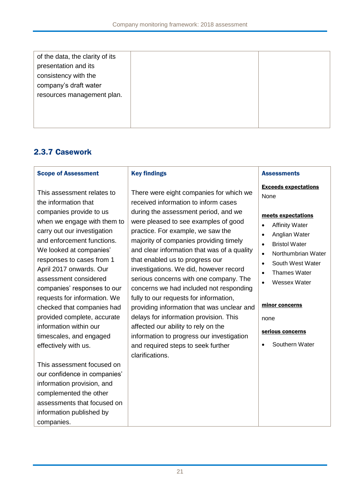| of the data, the clarity of its |  |
|---------------------------------|--|
| presentation and its            |  |
| consistency with the            |  |
| company's draft water           |  |
| resources management plan.      |  |
|                                 |  |
|                                 |  |
|                                 |  |

## 2.3.7 Casework

| <b>Scope of Assessment</b>                                                                                                                                                                                                                                                                                                                                                                                                                                                                     | <b>Key findings</b>                                                                                                                                                                                                                                                                                                                                                                                                                                                                                                                                                                                                                                                                                                                            | <b>Assessments</b>                                                                                                                                                                                                                                                                                                                                                             |
|------------------------------------------------------------------------------------------------------------------------------------------------------------------------------------------------------------------------------------------------------------------------------------------------------------------------------------------------------------------------------------------------------------------------------------------------------------------------------------------------|------------------------------------------------------------------------------------------------------------------------------------------------------------------------------------------------------------------------------------------------------------------------------------------------------------------------------------------------------------------------------------------------------------------------------------------------------------------------------------------------------------------------------------------------------------------------------------------------------------------------------------------------------------------------------------------------------------------------------------------------|--------------------------------------------------------------------------------------------------------------------------------------------------------------------------------------------------------------------------------------------------------------------------------------------------------------------------------------------------------------------------------|
| This assessment relates to<br>the information that<br>companies provide to us<br>when we engage with them to<br>carry out our investigation<br>and enforcement functions.<br>We looked at companies'<br>responses to cases from 1<br>April 2017 onwards. Our<br>assessment considered<br>companies' responses to our<br>requests for information. We<br>checked that companies had<br>provided complete, accurate<br>information within our<br>timescales, and engaged<br>effectively with us. | There were eight companies for which we<br>received information to inform cases<br>during the assessment period, and we<br>were pleased to see examples of good<br>practice. For example, we saw the<br>majority of companies providing timely<br>and clear information that was of a quality<br>that enabled us to progress our<br>investigations. We did, however record<br>serious concerns with one company. The<br>concerns we had included not responding<br>fully to our requests for information,<br>providing information that was unclear and<br>delays for information provision. This<br>affected our ability to rely on the<br>information to progress our investigation<br>and required steps to seek further<br>clarifications. | <b>Exceeds expectations</b><br>None<br>meets expectations<br><b>Affinity Water</b><br>$\bullet$<br>Anglian Water<br>$\bullet$<br><b>Bristol Water</b><br>$\bullet$<br>Northumbrian Water<br>$\bullet$<br>South West Water<br>$\bullet$<br><b>Thames Water</b><br>$\bullet$<br><b>Wessex Water</b><br>minor concerns<br>none<br>serious concerns<br>Southern Water<br>$\bullet$ |
| This assessment focused on<br>our confidence in companies'                                                                                                                                                                                                                                                                                                                                                                                                                                     |                                                                                                                                                                                                                                                                                                                                                                                                                                                                                                                                                                                                                                                                                                                                                |                                                                                                                                                                                                                                                                                                                                                                                |
| information provision, and                                                                                                                                                                                                                                                                                                                                                                                                                                                                     |                                                                                                                                                                                                                                                                                                                                                                                                                                                                                                                                                                                                                                                                                                                                                |                                                                                                                                                                                                                                                                                                                                                                                |
| complemented the other                                                                                                                                                                                                                                                                                                                                                                                                                                                                         |                                                                                                                                                                                                                                                                                                                                                                                                                                                                                                                                                                                                                                                                                                                                                |                                                                                                                                                                                                                                                                                                                                                                                |
| assessments that focused on                                                                                                                                                                                                                                                                                                                                                                                                                                                                    |                                                                                                                                                                                                                                                                                                                                                                                                                                                                                                                                                                                                                                                                                                                                                |                                                                                                                                                                                                                                                                                                                                                                                |
| information published by                                                                                                                                                                                                                                                                                                                                                                                                                                                                       |                                                                                                                                                                                                                                                                                                                                                                                                                                                                                                                                                                                                                                                                                                                                                |                                                                                                                                                                                                                                                                                                                                                                                |
| companies.                                                                                                                                                                                                                                                                                                                                                                                                                                                                                     |                                                                                                                                                                                                                                                                                                                                                                                                                                                                                                                                                                                                                                                                                                                                                |                                                                                                                                                                                                                                                                                                                                                                                |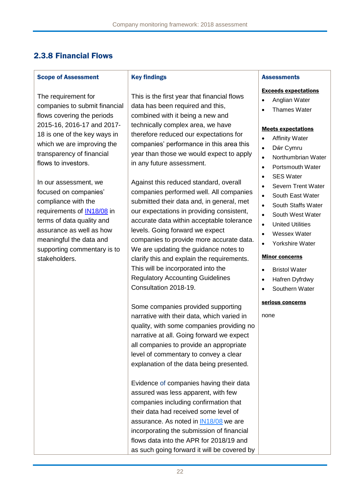## 2.3.8 Financial Flows

#### Scope of Assessment

The requirement for companies to submit financial flows covering the periods 2015-16, 2016-17 and 2017- 18 is one of the key ways in which we are improving the transparency of financial flows to investors. 

In our assessment, we focused on companies' compliance with the requirements of [IN18/08](https://www.ofwat.gov.uk/wp-content/uploads/2018/04/IN-1808-Expectations-for-companies-reporting-of-financial-flows-for-2017-18.pdf) in terms of data quality and assurance as well as how meaningful the data and supporting commentary is to stakeholders.

#### Key findings

This is the first year that financial flows data has been required and this, combined with it being a new and technically complex area, we have therefore reduced our expectations for companies' performance in this area this year than those we would expect to apply in any future assessment.

Against this reduced standard, overall companies performed well. All companies submitted their data and, in general, met our expectations in providing consistent, accurate data within acceptable tolerance levels. Going forward we expect companies to provide more accurate data. We are updating the guidance notes to clarify this and explain the requirements. This will be incorporated into the Regulatory Accounting Guidelines Consultation 2018-19.

Some companies provided supporting narrative with their data, which varied in quality, with some companies providing no narrative at all. Going forward we expect all companies to provide an appropriate level of commentary to convey a clear explanation of the data being presented.

Evidence of companies having their data assured was less apparent, with few companies including confirmation that their data had received some level of assurance. As noted in [IN18/08](https://www.ofwat.gov.uk/wp-content/uploads/2018/04/IN-1808-Expectations-for-companies-reporting-of-financial-flows-for-2017-18.pdf) we are incorporating the submission of financial flows data into the APR for 2018/19 and as such going forward it will be covered by

### **Assessments**

#### Exceeds expectations

- Anglian Water
- Thames Water

#### Meets expectations

- Affinity Water
- Dŵr Cymru
- Northumbrian Water
- Portsmouth Water
- SES Water
- Severn Trent Water
- South East Water
- South Staffs Water
- South West Water
- United Utilities
- Wessex Water
- Yorkshire Water

### Minor concerns

- Bristol Water
- Hafren Dvfrdwy
- Southern Water

#### serious concerns

none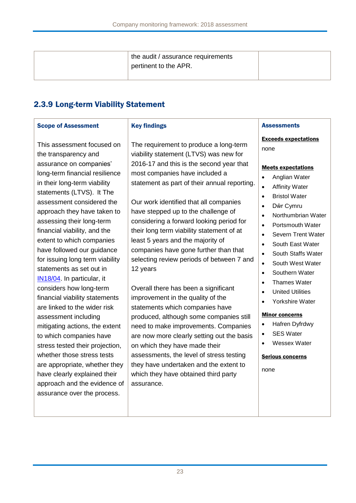| the audit / assurance requirements<br>pertinent to the APR. |  |
|-------------------------------------------------------------|--|
|-------------------------------------------------------------|--|

# 2.3.9 Long-term Viability Statement

| <b>Scope of Assessment</b>                                                                                                                                                                                                                                                                                                                                                                                                                                                                                                                                                                                                                                                                                                                                                                                                                       | <b>Key findings</b>                                                                                                                                                                                                                                                                                                                                                                                                                                                                                                                                                                                                                                                                                                                                                                                                                                                                                                                                           | <b>Assessments</b>                                                                                                                                                                                                                                                                                                                                                                                                                                                                                                                                                                                                                                                                                           |
|--------------------------------------------------------------------------------------------------------------------------------------------------------------------------------------------------------------------------------------------------------------------------------------------------------------------------------------------------------------------------------------------------------------------------------------------------------------------------------------------------------------------------------------------------------------------------------------------------------------------------------------------------------------------------------------------------------------------------------------------------------------------------------------------------------------------------------------------------|---------------------------------------------------------------------------------------------------------------------------------------------------------------------------------------------------------------------------------------------------------------------------------------------------------------------------------------------------------------------------------------------------------------------------------------------------------------------------------------------------------------------------------------------------------------------------------------------------------------------------------------------------------------------------------------------------------------------------------------------------------------------------------------------------------------------------------------------------------------------------------------------------------------------------------------------------------------|--------------------------------------------------------------------------------------------------------------------------------------------------------------------------------------------------------------------------------------------------------------------------------------------------------------------------------------------------------------------------------------------------------------------------------------------------------------------------------------------------------------------------------------------------------------------------------------------------------------------------------------------------------------------------------------------------------------|
| This assessment focused on<br>the transparency and<br>assurance on companies'<br>long-term financial resilience<br>in their long-term viability<br>statements (LTVS). It The<br>assessment considered the<br>approach they have taken to<br>assessing their long-term<br>financial viability, and the<br>extent to which companies<br>have followed our guidance<br>for issuing long term viability<br>statements as set out in<br>IN18/04. In particular, it<br>considers how long-term<br>financial viability statements<br>are linked to the wider risk<br>assessment including<br>mitigating actions, the extent<br>to which companies have<br>stress tested their projection,<br>whether those stress tests<br>are appropriate, whether they<br>have clearly explained their<br>approach and the evidence of<br>assurance over the process. | The requirement to produce a long-term<br>viability statement (LTVS) was new for<br>2016-17 and this is the second year that<br>most companies have included a<br>statement as part of their annual reporting.<br>Our work identified that all companies<br>have stepped up to the challenge of<br>considering a forward looking period for<br>their long term viability statement of at<br>least 5 years and the majority of<br>companies have gone further than that<br>selecting review periods of between 7 and<br>12 years<br>Overall there has been a significant<br>improvement in the quality of the<br>statements which companies have<br>produced, although some companies still<br>need to make improvements. Companies<br>are now more clearly setting out the basis<br>on which they have made their<br>assessments, the level of stress testing<br>they have undertaken and the extent to<br>which they have obtained third party<br>assurance. | <b>Exceeds expectations</b><br>none<br><b>Meets expectations</b><br>Anglian Water<br>$\bullet$<br><b>Affinity Water</b><br>$\bullet$<br><b>Bristol Water</b><br>$\bullet$<br>Dŵr Cymru<br>$\bullet$<br>Northumbrian Water<br>$\bullet$<br>Portsmouth Water<br>$\bullet$<br>Severn Trent Water<br>$\bullet$<br>South East Water<br>$\bullet$<br>South Staffs Water<br>$\bullet$<br>South West Water<br>$\bullet$<br>Southern Water<br>$\bullet$<br>Thames Water<br>$\bullet$<br><b>United Utilities</b><br>$\bullet$<br>Yorkshire Water<br>$\bullet$<br><b>Minor concerns</b><br>Hafren Dyfrdwy<br>$\bullet$<br><b>SES Water</b><br>$\bullet$<br>Wessex Water<br>$\bullet$<br><b>Serious concerns</b><br>none |
|                                                                                                                                                                                                                                                                                                                                                                                                                                                                                                                                                                                                                                                                                                                                                                                                                                                  |                                                                                                                                                                                                                                                                                                                                                                                                                                                                                                                                                                                                                                                                                                                                                                                                                                                                                                                                                               |                                                                                                                                                                                                                                                                                                                                                                                                                                                                                                                                                                                                                                                                                                              |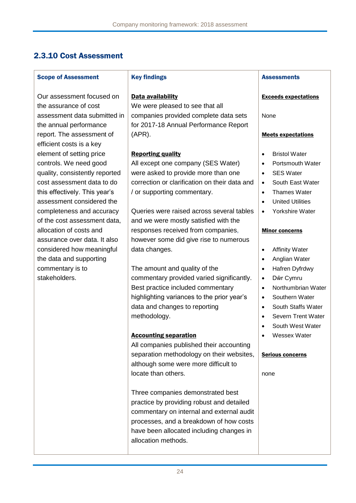# 2.3.10 Cost Assessment

 $\mathbf{r}$ 

| <b>Scope of Assessment</b>                                                                                                                                                                                                                                                                                                                                                                            | <b>Key findings</b>                                                                                                                                                                                                                                                                                                                                                                                                                                                                                                                                                                                                                                                                                                                                                                                                                                                                                                   | <b>Assessments</b>                                                                                                                                                                                                                                                                                                                                                                                                                                                                                                                                                                                                                              |
|-------------------------------------------------------------------------------------------------------------------------------------------------------------------------------------------------------------------------------------------------------------------------------------------------------------------------------------------------------------------------------------------------------|-----------------------------------------------------------------------------------------------------------------------------------------------------------------------------------------------------------------------------------------------------------------------------------------------------------------------------------------------------------------------------------------------------------------------------------------------------------------------------------------------------------------------------------------------------------------------------------------------------------------------------------------------------------------------------------------------------------------------------------------------------------------------------------------------------------------------------------------------------------------------------------------------------------------------|-------------------------------------------------------------------------------------------------------------------------------------------------------------------------------------------------------------------------------------------------------------------------------------------------------------------------------------------------------------------------------------------------------------------------------------------------------------------------------------------------------------------------------------------------------------------------------------------------------------------------------------------------|
| Our assessment focused on<br>the assurance of cost                                                                                                                                                                                                                                                                                                                                                    | Data availability<br>We were pleased to see that all                                                                                                                                                                                                                                                                                                                                                                                                                                                                                                                                                                                                                                                                                                                                                                                                                                                                  | <b>Exceeds expectations</b>                                                                                                                                                                                                                                                                                                                                                                                                                                                                                                                                                                                                                     |
| assessment data submitted in<br>the annual performance                                                                                                                                                                                                                                                                                                                                                | companies provided complete data sets<br>for 2017-18 Annual Performance Report                                                                                                                                                                                                                                                                                                                                                                                                                                                                                                                                                                                                                                                                                                                                                                                                                                        | None                                                                                                                                                                                                                                                                                                                                                                                                                                                                                                                                                                                                                                            |
| report. The assessment of<br>efficient costs is a key                                                                                                                                                                                                                                                                                                                                                 | $(APR)$ .                                                                                                                                                                                                                                                                                                                                                                                                                                                                                                                                                                                                                                                                                                                                                                                                                                                                                                             | <b>Meets expectations</b>                                                                                                                                                                                                                                                                                                                                                                                                                                                                                                                                                                                                                       |
| element of setting price<br>controls. We need good<br>quality, consistently reported<br>cost assessment data to do<br>this effectively. This year's<br>assessment considered the<br>completeness and accuracy<br>of the cost assessment data,<br>allocation of costs and<br>assurance over data. It also<br>considered how meaningful<br>the data and supporting<br>commentary is to<br>stakeholders. | <b>Reporting quality</b><br>All except one company (SES Water)<br>were asked to provide more than one<br>correction or clarification on their data and<br>/ or supporting commentary.<br>Queries were raised across several tables<br>and we were mostly satisfied with the<br>responses received from companies,<br>however some did give rise to numerous<br>data changes.<br>The amount and quality of the<br>commentary provided varied significantly.<br>Best practice included commentary<br>highlighting variances to the prior year's<br>data and changes to reporting<br>methodology.<br><b>Accounting separation</b><br>All companies published their accounting<br>separation methodology on their websites,<br>although some were more difficult to<br>locate than others.<br>Three companies demonstrated best<br>practice by providing robust and detailed<br>commentary on internal and external audit | <b>Bristol Water</b><br>$\bullet$<br>Portsmouth Water<br>$\bullet$<br><b>SES Water</b><br>$\bullet$<br>South East Water<br>$\bullet$<br><b>Thames Water</b><br>$\bullet$<br><b>United Utilities</b><br>$\bullet$<br>Yorkshire Water<br>$\bullet$<br><b>Minor concerns</b><br><b>Affinity Water</b><br>$\bullet$<br>Anglian Water<br>$\bullet$<br>Hafren Dyfrdwy<br>$\bullet$<br>Dŵr Cymru<br>$\bullet$<br>Northumbrian Water<br>$\bullet$<br>Southern Water<br>$\bullet$<br>South Staffs Water<br>$\bullet$<br>Severn Trent Water<br>$\bullet$<br>South West Water<br>$\bullet$<br>Wessex Water<br>$\bullet$<br><b>Serious concerns</b><br>none |
|                                                                                                                                                                                                                                                                                                                                                                                                       | processes, and a breakdown of how costs<br>have been allocated including changes in<br>allocation methods.                                                                                                                                                                                                                                                                                                                                                                                                                                                                                                                                                                                                                                                                                                                                                                                                            |                                                                                                                                                                                                                                                                                                                                                                                                                                                                                                                                                                                                                                                 |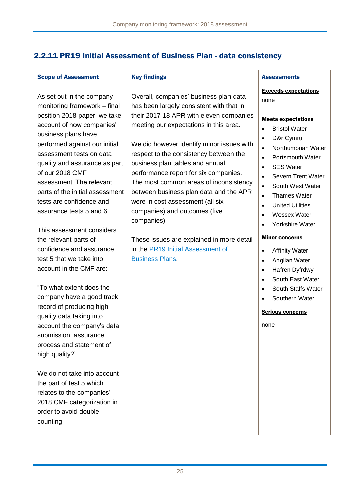## 2.2.11 PR19 Initial Assessment of Business Plan - data consistency

### Scope of Assessment

Key findings

As set out in the company monitoring framework – final position 2018 paper, we take account of how companies' business plans have performed against our initial assessment tests on data quality and assurance as part of our 2018 CMF assessment. The relevant parts of the initial assessment tests are confidence and assurance tests 5 and 6.

This assessment considers the relevant parts of confidence and assurance test 5 that we take into account in the CMF are:

"To what extent does the company have a good track record of producing high quality data taking into account the company's data submission, assurance process and statement of high quality?'

We do not take into account the part of test 5 which relates to the companies' 2018 CMF categorization in order to avoid double counting.

## Overall, companies' business plan data has been largely consistent with that in their 2017-18 APR with eleven companies meeting our expectations in this area.

We did however identify minor issues with respect to the consistency between the business plan tables and annual performance report for six companies. The most common areas of inconsistency between business plan data and the APR were in cost assessment (all six companies) and outcomes (five companies).

These issues are explained in more detail in the [PR19 Initial Assessment of](https://www.ofwat.gov.uk/regulated-companies/price-review/2019-price-review/initial-assessment-of-plans/)  [Business Plans.](https://www.ofwat.gov.uk/regulated-companies/price-review/2019-price-review/initial-assessment-of-plans/)

#### **Assessments**

Exceeds expectations none

#### Meets expectations

- Bristol Water
- Dŵr Cymru
- Northumbrian Water
- Portsmouth Water
- SES Water
- **Severn Trent Water**
- South West Water
- Thames Water
- United Utilities
- Wessex Water
- Yorkshire Water

### Minor concerns

- Affinity Water
- Anglian Water
- Hafren Dyfrdwy
- South East Water
- South Staffs Water
- Southern Water

### Serious concerns

none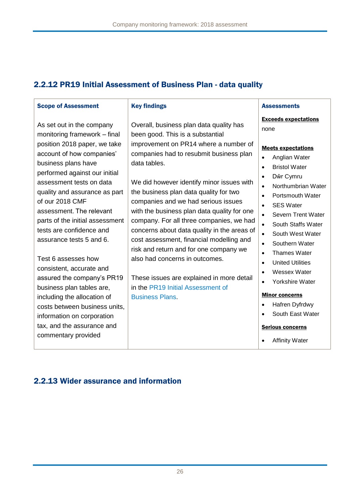# 2.2.12 PR19 Initial Assessment of Business Plan - data quality

| <b>Scope of Assessment</b>                                                                                                                                                                                                                                                               | <b>Key findings</b>                                                                                                                                                                                                                                                                                                                                                                                                   | <b>Assessments</b>                                                                                                                                                                                                                                                                                                                                                |
|------------------------------------------------------------------------------------------------------------------------------------------------------------------------------------------------------------------------------------------------------------------------------------------|-----------------------------------------------------------------------------------------------------------------------------------------------------------------------------------------------------------------------------------------------------------------------------------------------------------------------------------------------------------------------------------------------------------------------|-------------------------------------------------------------------------------------------------------------------------------------------------------------------------------------------------------------------------------------------------------------------------------------------------------------------------------------------------------------------|
| As set out in the company<br>monitoring framework - final<br>position 2018 paper, we take                                                                                                                                                                                                | Overall, business plan data quality has<br>been good. This is a substantial<br>improvement on PR14 where a number of                                                                                                                                                                                                                                                                                                  | <b>Exceeds expectations</b><br>none                                                                                                                                                                                                                                                                                                                               |
| account of how companies'<br>business plans have<br>performed against our initial<br>assessment tests on data<br>quality and assurance as part<br>of our 2018 CMF<br>assessment. The relevant<br>parts of the initial assessment<br>tests are confidence and<br>assurance tests 5 and 6. | companies had to resubmit business plan<br>data tables.<br>We did however identify minor issues with<br>the business plan data quality for two<br>companies and we had serious issues<br>with the business plan data quality for one<br>company. For all three companies, we had<br>concerns about data quality in the areas of<br>cost assessment, financial modelling and<br>risk and return and for one company we | <b>Meets expectations</b><br>Anglian Water<br>$\bullet$<br><b>Bristol Water</b><br>$\bullet$<br>Dŵr Cymru<br>$\bullet$<br>Northumbrian Water<br>$\bullet$<br>Portsmouth Water<br>$\bullet$<br><b>SES Water</b><br>$\bullet$<br>Severn Trent Water<br>$\bullet$<br>South Staffs Water<br>$\bullet$<br>South West Water<br>$\bullet$<br>Southern Water<br>$\bullet$ |
| Test 6 assesses how<br>consistent, accurate and<br>assured the company's PR19<br>business plan tables are,<br>including the allocation of<br>costs between business units,<br>information on corporation<br>tax, and the assurance and<br>commentary provided                            | also had concerns in outcomes.<br>These issues are explained in more detail<br>in the PR19 Initial Assessment of<br><b>Business Plans.</b>                                                                                                                                                                                                                                                                            | <b>Thames Water</b><br>$\bullet$<br><b>United Utilities</b><br>$\bullet$<br><b>Wessex Water</b><br>$\bullet$<br>Yorkshire Water<br>$\bullet$<br><b>Minor concerns</b><br>Hafren Dyfrdwy<br>$\bullet$<br>South East Water<br><b>Serious concerns</b><br><b>Affinity Water</b>                                                                                      |

# 2.2.13 Wider assurance and information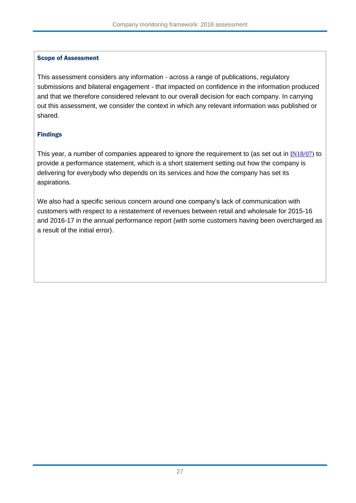## Scope of Assessment

This assessment considers any information - across a range of publications, regulatory submissions and bilateral engagement - that impacted on confidence in the information produced and that we therefore considered relevant to our overall decision for each company. In carrying out this assessment, we consider the context in which any relevant information was published or shared.

## Findings

This year, a number of companies appeared to ignore the requirement to (as set out in [IN18/07\)](https://www.ofwat.gov.uk/wp-content/uploads/2018/04/IN-1807-Expectations-for-monopoly-company-annual-performance-reporting-2017-18-final.pdf) to provide a performance statement, which is a short statement setting out how the company is delivering for everybody who depends on its services and how the company has set its aspirations.

We also had a specific serious concern around one company's lack of communication with customers with respect to a restatement of revenues between retail and wholesale for 2015-16 and 2016-17 in the annual performance report (with some customers having been overcharged as a result of the initial error).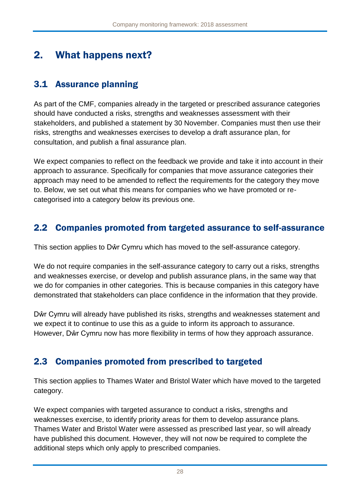# 2. What happens next?

# 3.1 Assurance planning

As part of the CMF, companies already in the targeted or prescribed assurance categories should have conducted a risks, strengths and weaknesses assessment with their stakeholders, and published a statement by 30 November. Companies must then use their risks, strengths and weaknesses exercises to develop a draft assurance plan, for consultation, and publish a final assurance plan.

We expect companies to reflect on the feedback we provide and take it into account in their approach to assurance. Specifically for companies that move assurance categories their approach may need to be amended to reflect the requirements for the category they move to. Below, we set out what this means for companies who we have promoted or recategorised into a category below its previous one.

# 2.2 Companies promoted from targeted assurance to self-assurance

This section applies to Dŵr Cymru which has moved to the self-assurance category.

We do not require companies in the self-assurance category to carry out a risks, strengths and weaknesses exercise, or develop and publish assurance plans, in the same way that we do for companies in other categories. This is because companies in this category have demonstrated that stakeholders can place confidence in the information that they provide.

Dŵr Cymru will already have published its risks, strengths and weaknesses statement and we expect it to continue to use this as a guide to inform its approach to assurance. However, Dŵr Cymru now has more flexibility in terms of how they approach assurance.

# 2.3 Companies promoted from prescribed to targeted

This section applies to Thames Water and Bristol Water which have moved to the targeted category.

We expect companies with targeted assurance to conduct a risks, strengths and weaknesses exercise, to identify priority areas for them to develop assurance plans. Thames Water and Bristol Water were assessed as prescribed last year, so will already have published this document. However, they will not now be required to complete the additional steps which only apply to prescribed companies.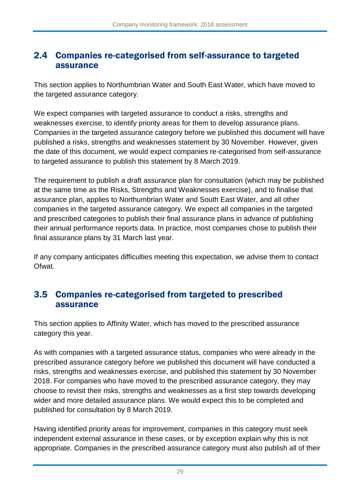# 2.4 Companies re-categorised from self-assurance to targeted assurance

This section applies to Northumbrian Water and South East Water, which have moved to the targeted assurance category.

We expect companies with targeted assurance to conduct a risks, strengths and weaknesses exercise, to identify priority areas for them to develop assurance plans. Companies in the targeted assurance category before we published this document will have published a risks, strengths and weaknesses statement by 30 November. However, given the date of this document, we would expect companies re-categorised from self-assurance to targeted assurance to publish this statement by 8 March 2019.

The requirement to publish a draft assurance plan for consultation (which may be published at the same time as the Risks, Strengths and Weaknesses exercise), and to finalise that assurance plan, applies to Northumbrian Water and South East Water, and all other companies in the targeted assurance category. We expect all companies in the targeted and prescribed categories to publish their final assurance plans in advance of publishing their annual performance reports data. In practice, most companies chose to publish their final assurance plans by 31 March last year.

If any company anticipates difficulties meeting this expectation, we advise them to contact Ofwat.

# 3.5 Companies re-categorised from targeted to prescribed assurance

This section applies to Affinity Water, which has moved to the prescribed assurance category this year.

As with companies with a targeted assurance status, companies who were already in the prescribed assurance category before we published this document will have conducted a risks, strengths and weaknesses exercise, and published this statement by 30 November 2018. For companies who have moved to the prescribed assurance category, they may choose to revisit their risks, strengths and weaknesses as a first step towards developing wider and more detailed assurance plans. We would expect this to be completed and published for consultation by 8 March 2019.

Having identified priority areas for improvement, companies in this category must seek independent external assurance in these cases, or by exception explain why this is not appropriate. Companies in the prescribed assurance category must also publish all of their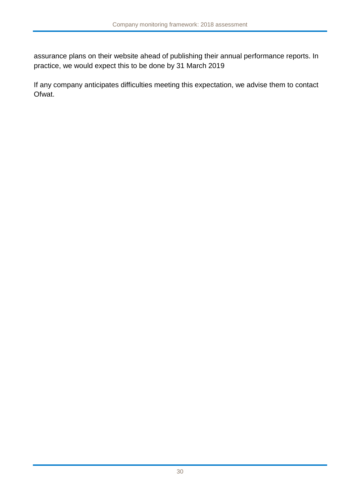assurance plans on their website ahead of publishing their annual performance reports. In practice, we would expect this to be done by 31 March 2019

If any company anticipates difficulties meeting this expectation, we advise them to contact Ofwat.